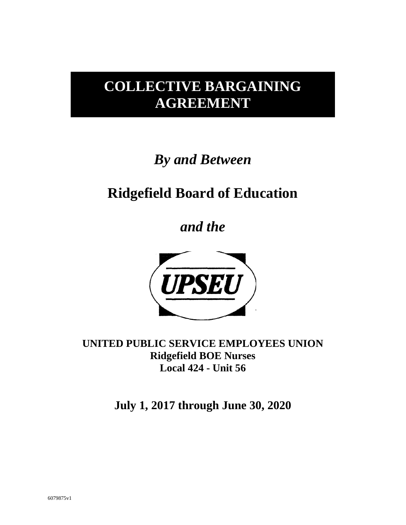## **COLLECTIVE BARGAINING AGREEMENT**

# *By and Between*

## **Ridgefield Board of Education**

*and the*



**UNITED PUBLIC SERVICE EMPLOYEES UNION Ridgefield BOE Nurses Local 424 - Unit 56**

**July 1, 2017 through June 30, 2020**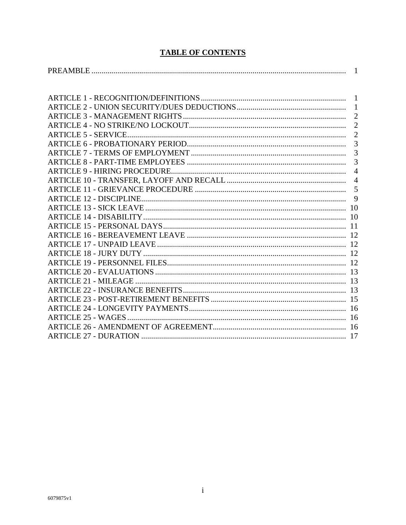## **TABLE OF CONTENTS**

|                                      | $\overline{2}$ |
|--------------------------------------|----------------|
|                                      | $\overline{2}$ |
|                                      | $\overline{2}$ |
|                                      | $\overline{3}$ |
|                                      | 3              |
|                                      | 3              |
| <b>ARTICLE 9 - HIRING PROCEDURE.</b> | $\overline{4}$ |
|                                      | $\overline{4}$ |
|                                      | 5              |
|                                      | 9              |
|                                      |                |
|                                      | 10             |
|                                      |                |
|                                      |                |
|                                      |                |
|                                      |                |
|                                      |                |
|                                      |                |
|                                      |                |
|                                      |                |
|                                      |                |
|                                      |                |
|                                      |                |
|                                      |                |
|                                      |                |
|                                      |                |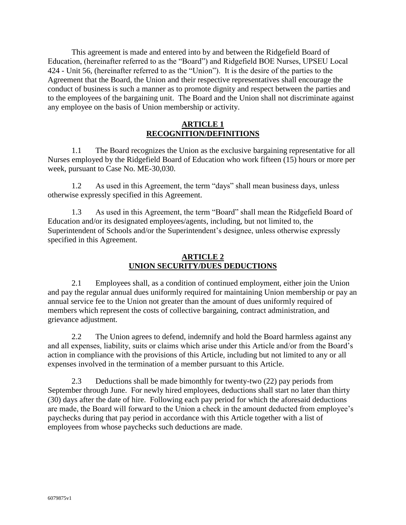This agreement is made and entered into by and between the Ridgefield Board of Education, (hereinafter referred to as the "Board") and Ridgefield BOE Nurses, UPSEU Local 424 - Unit 56, (hereinafter referred to as the "Union"). It is the desire of the parties to the Agreement that the Board, the Union and their respective representatives shall encourage the conduct of business is such a manner as to promote dignity and respect between the parties and to the employees of the bargaining unit. The Board and the Union shall not discriminate against any employee on the basis of Union membership or activity.

## **ARTICLE 1 RECOGNITION/DEFINITIONS**

1.1 The Board recognizes the Union as the exclusive bargaining representative for all Nurses employed by the Ridgefield Board of Education who work fifteen (15) hours or more per week, pursuant to Case No. ME-30,030.

1.2 As used in this Agreement, the term "days" shall mean business days, unless otherwise expressly specified in this Agreement.

1.3 As used in this Agreement, the term "Board" shall mean the Ridgefield Board of Education and/or its designated employees/agents, including, but not limited to, the Superintendent of Schools and/or the Superintendent's designee, unless otherwise expressly specified in this Agreement.

## **ARTICLE 2 UNION SECURITY/DUES DEDUCTIONS**

2.1 Employees shall, as a condition of continued employment, either join the Union and pay the regular annual dues uniformly required for maintaining Union membership or pay an annual service fee to the Union not greater than the amount of dues uniformly required of members which represent the costs of collective bargaining, contract administration, and grievance adjustment.

2.2 The Union agrees to defend, indemnify and hold the Board harmless against any and all expenses, liability, suits or claims which arise under this Article and/or from the Board's action in compliance with the provisions of this Article, including but not limited to any or all expenses involved in the termination of a member pursuant to this Article.

2.3 Deductions shall be made bimonthly for twenty-two (22) pay periods from September through June. For newly hired employees, deductions shall start no later than thirty (30) days after the date of hire. Following each pay period for which the aforesaid deductions are made, the Board will forward to the Union a check in the amount deducted from employee's paychecks during that pay period in accordance with this Article together with a list of employees from whose paychecks such deductions are made.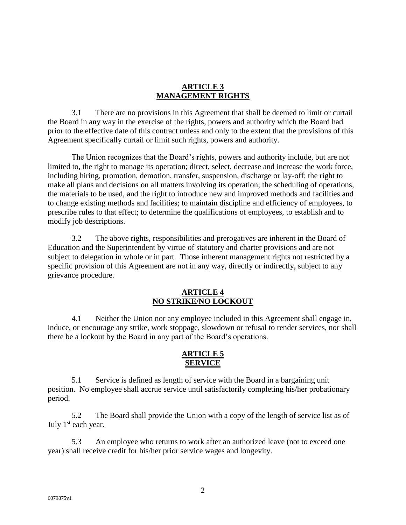#### **ARTICLE 3 MANAGEMENT RIGHTS**

3.1 There are no provisions in this Agreement that shall be deemed to limit or curtail the Board in any way in the exercise of the rights, powers and authority which the Board had prior to the effective date of this contract unless and only to the extent that the provisions of this Agreement specifically curtail or limit such rights, powers and authority.

The Union recognizes that the Board's rights, powers and authority include, but are not limited to, the right to manage its operation; direct, select, decrease and increase the work force, including hiring, promotion, demotion, transfer, suspension, discharge or lay-off; the right to make all plans and decisions on all matters involving its operation; the scheduling of operations, the materials to be used, and the right to introduce new and improved methods and facilities and to change existing methods and facilities; to maintain discipline and efficiency of employees, to prescribe rules to that effect; to determine the qualifications of employees, to establish and to modify job descriptions.

3.2 The above rights, responsibilities and prerogatives are inherent in the Board of Education and the Superintendent by virtue of statutory and charter provisions and are not subject to delegation in whole or in part. Those inherent management rights not restricted by a specific provision of this Agreement are not in any way, directly or indirectly, subject to any grievance procedure.

#### **ARTICLE 4 NO STRIKE/NO LOCKOUT**

4.1 Neither the Union nor any employee included in this Agreement shall engage in, induce, or encourage any strike, work stoppage, slowdown or refusal to render services, nor shall there be a lockout by the Board in any part of the Board's operations.

## **ARTICLE 5 SERVICE**

5.1 Service is defined as length of service with the Board in a bargaining unit position. No employee shall accrue service until satisfactorily completing his/her probationary period.

5.2 The Board shall provide the Union with a copy of the length of service list as of July 1<sup>st</sup> each year.

5.3 An employee who returns to work after an authorized leave (not to exceed one year) shall receive credit for his/her prior service wages and longevity.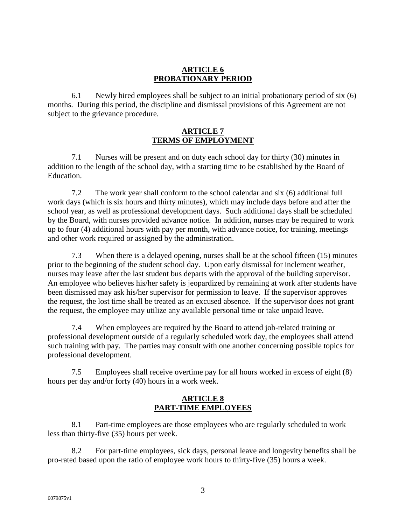## **ARTICLE 6 PROBATIONARY PERIOD**

6.1 Newly hired employees shall be subject to an initial probationary period of six (6) months. During this period, the discipline and dismissal provisions of this Agreement are not subject to the grievance procedure.

## **ARTICLE 7 TERMS OF EMPLOYMENT**

7.1 Nurses will be present and on duty each school day for thirty (30) minutes in addition to the length of the school day, with a starting time to be established by the Board of Education.

7.2 The work year shall conform to the school calendar and six (6) additional full work days (which is six hours and thirty minutes), which may include days before and after the school year, as well as professional development days. Such additional days shall be scheduled by the Board, with nurses provided advance notice. In addition, nurses may be required to work up to four (4) additional hours with pay per month, with advance notice, for training, meetings and other work required or assigned by the administration.

7.3 When there is a delayed opening, nurses shall be at the school fifteen (15) minutes prior to the beginning of the student school day. Upon early dismissal for inclement weather, nurses may leave after the last student bus departs with the approval of the building supervisor. An employee who believes his/her safety is jeopardized by remaining at work after students have been dismissed may ask his/her supervisor for permission to leave. If the supervisor approves the request, the lost time shall be treated as an excused absence. If the supervisor does not grant the request, the employee may utilize any available personal time or take unpaid leave.

7.4 When employees are required by the Board to attend job-related training or professional development outside of a regularly scheduled work day, the employees shall attend such training with pay. The parties may consult with one another concerning possible topics for professional development.

7.5 Employees shall receive overtime pay for all hours worked in excess of eight (8) hours per day and/or forty (40) hours in a work week.

## **ARTICLE 8 PART-TIME EMPLOYEES**

8.1 Part-time employees are those employees who are regularly scheduled to work less than thirty-five (35) hours per week.

8.2 For part-time employees, sick days, personal leave and longevity benefits shall be pro-rated based upon the ratio of employee work hours to thirty-five (35) hours a week.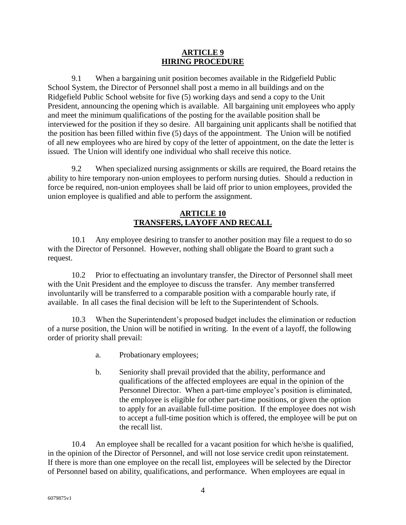#### **ARTICLE 9 HIRING PROCEDURE**

9.1 When a bargaining unit position becomes available in the Ridgefield Public School System, the Director of Personnel shall post a memo in all buildings and on the Ridgefield Public School website for five (5) working days and send a copy to the Unit President, announcing the opening which is available. All bargaining unit employees who apply and meet the minimum qualifications of the posting for the available position shall be interviewed for the position if they so desire. All bargaining unit applicants shall be notified that the position has been filled within five (5) days of the appointment. The Union will be notified of all new employees who are hired by copy of the letter of appointment, on the date the letter is issued. The Union will identify one individual who shall receive this notice.

9.2 When specialized nursing assignments or skills are required, the Board retains the ability to hire temporary non-union employees to perform nursing duties. Should a reduction in force be required, non-union employees shall be laid off prior to union employees, provided the union employee is qualified and able to perform the assignment.

## **ARTICLE 10 TRANSFERS, LAYOFF AND RECALL**

10.1 Any employee desiring to transfer to another position may file a request to do so with the Director of Personnel. However, nothing shall obligate the Board to grant such a request.

10.2 Prior to effectuating an involuntary transfer, the Director of Personnel shall meet with the Unit President and the employee to discuss the transfer. Any member transferred involuntarily will be transferred to a comparable position with a comparable hourly rate, if available. In all cases the final decision will be left to the Superintendent of Schools.

10.3 When the Superintendent's proposed budget includes the elimination or reduction of a nurse position, the Union will be notified in writing. In the event of a layoff, the following order of priority shall prevail:

- a. Probationary employees;
- b. Seniority shall prevail provided that the ability, performance and qualifications of the affected employees are equal in the opinion of the Personnel Director. When a part-time employee's position is eliminated, the employee is eligible for other part-time positions, or given the option to apply for an available full-time position. If the employee does not wish to accept a full-time position which is offered, the employee will be put on the recall list.

10.4 An employee shall be recalled for a vacant position for which he/she is qualified, in the opinion of the Director of Personnel, and will not lose service credit upon reinstatement. If there is more than one employee on the recall list, employees will be selected by the Director of Personnel based on ability, qualifications, and performance. When employees are equal in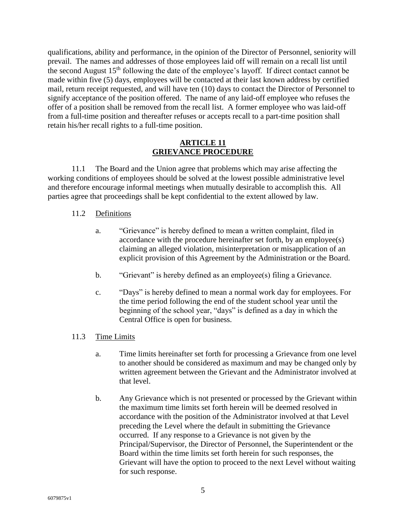qualifications, ability and performance, in the opinion of the Director of Personnel, seniority will prevail. The names and addresses of those employees laid off will remain on a recall list until the second August 15th following the date of the employee's layoff. If direct contact cannot be made within five (5) days, employees will be contacted at their last known address by certified mail, return receipt requested, and will have ten (10) days to contact the Director of Personnel to signify acceptance of the position offered. The name of any laid-off employee who refuses the offer of a position shall be removed from the recall list. A former employee who was laid-off from a full-time position and thereafter refuses or accepts recall to a part-time position shall retain his/her recall rights to a full-time position.

### **ARTICLE 11 GRIEVANCE PROCEDURE**

11.1 The Board and the Union agree that problems which may arise affecting the working conditions of employees should be solved at the lowest possible administrative level and therefore encourage informal meetings when mutually desirable to accomplish this. All parties agree that proceedings shall be kept confidential to the extent allowed by law.

## 11.2 Definitions

- a. "Grievance" is hereby defined to mean a written complaint, filed in accordance with the procedure hereinafter set forth, by an employee(s) claiming an alleged violation, misinterpretation or misapplication of an explicit provision of this Agreement by the Administration or the Board.
- b. "Grievant" is hereby defined as an employee(s) filing a Grievance.
- c. "Days" is hereby defined to mean a normal work day for employees. For the time period following the end of the student school year until the beginning of the school year, "days" is defined as a day in which the Central Office is open for business.

## 11.3 Time Limits

- a. Time limits hereinafter set forth for processing a Grievance from one level to another should be considered as maximum and may be changed only by written agreement between the Grievant and the Administrator involved at that level.
- b. Any Grievance which is not presented or processed by the Grievant within the maximum time limits set forth herein will be deemed resolved in accordance with the position of the Administrator involved at that Level preceding the Level where the default in submitting the Grievance occurred. If any response to a Grievance is not given by the Principal/Supervisor, the Director of Personnel, the Superintendent or the Board within the time limits set forth herein for such responses, the Grievant will have the option to proceed to the next Level without waiting for such response.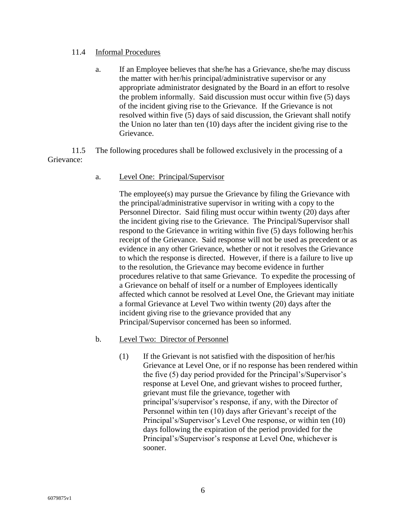#### 11.4 Informal Procedures

a. If an Employee believes that she/he has a Grievance, she/he may discuss the matter with her/his principal/administrative supervisor or any appropriate administrator designated by the Board in an effort to resolve the problem informally. Said discussion must occur within five (5) days of the incident giving rise to the Grievance. If the Grievance is not resolved within five (5) days of said discussion, the Grievant shall notify the Union no later than ten (10) days after the incident giving rise to the Grievance.

11.5 The following procedures shall be followed exclusively in the processing of a Grievance:

a. Level One: Principal/Supervisor

The employee(s) may pursue the Grievance by filing the Grievance with the principal/administrative supervisor in writing with a copy to the Personnel Director. Said filing must occur within twenty (20) days after the incident giving rise to the Grievance. The Principal/Supervisor shall respond to the Grievance in writing within five (5) days following her/his receipt of the Grievance. Said response will not be used as precedent or as evidence in any other Grievance, whether or not it resolves the Grievance to which the response is directed. However, if there is a failure to live up to the resolution, the Grievance may become evidence in further procedures relative to that same Grievance. To expedite the processing of a Grievance on behalf of itself or a number of Employees identically affected which cannot be resolved at Level One, the Grievant may initiate a formal Grievance at Level Two within twenty (20) days after the incident giving rise to the grievance provided that any Principal/Supervisor concerned has been so informed.

- b. Level Two: Director of Personnel
	- (1) If the Grievant is not satisfied with the disposition of her/his Grievance at Level One, or if no response has been rendered within the five (5) day period provided for the Principal's/Supervisor's response at Level One, and grievant wishes to proceed further, grievant must file the grievance, together with principal's/supervisor's response, if any, with the Director of Personnel within ten (10) days after Grievant's receipt of the Principal's/Supervisor's Level One response, or within ten (10) days following the expiration of the period provided for the Principal's/Supervisor's response at Level One, whichever is sooner.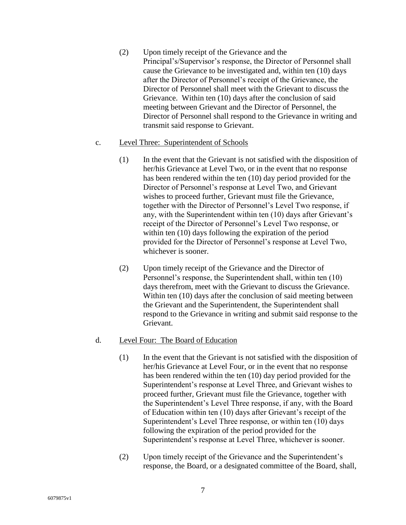(2) Upon timely receipt of the Grievance and the Principal's/Supervisor's response, the Director of Personnel shall cause the Grievance to be investigated and, within ten (10) days after the Director of Personnel's receipt of the Grievance, the Director of Personnel shall meet with the Grievant to discuss the Grievance. Within ten (10) days after the conclusion of said meeting between Grievant and the Director of Personnel, the Director of Personnel shall respond to the Grievance in writing and transmit said response to Grievant.

#### c. Level Three: Superintendent of Schools

- (1) In the event that the Grievant is not satisfied with the disposition of her/his Grievance at Level Two, or in the event that no response has been rendered within the ten (10) day period provided for the Director of Personnel's response at Level Two, and Grievant wishes to proceed further, Grievant must file the Grievance, together with the Director of Personnel's Level Two response, if any, with the Superintendent within ten (10) days after Grievant's receipt of the Director of Personnel's Level Two response, or within ten (10) days following the expiration of the period provided for the Director of Personnel's response at Level Two, whichever is sooner.
- (2) Upon timely receipt of the Grievance and the Director of Personnel's response, the Superintendent shall, within ten (10) days therefrom, meet with the Grievant to discuss the Grievance. Within ten (10) days after the conclusion of said meeting between the Grievant and the Superintendent, the Superintendent shall respond to the Grievance in writing and submit said response to the Grievant.

#### d. Level Four: The Board of Education

- (1) In the event that the Grievant is not satisfied with the disposition of her/his Grievance at Level Four, or in the event that no response has been rendered within the ten (10) day period provided for the Superintendent's response at Level Three, and Grievant wishes to proceed further, Grievant must file the Grievance, together with the Superintendent's Level Three response, if any, with the Board of Education within ten (10) days after Grievant's receipt of the Superintendent's Level Three response, or within ten (10) days following the expiration of the period provided for the Superintendent's response at Level Three, whichever is sooner.
- (2) Upon timely receipt of the Grievance and the Superintendent's response, the Board, or a designated committee of the Board, shall,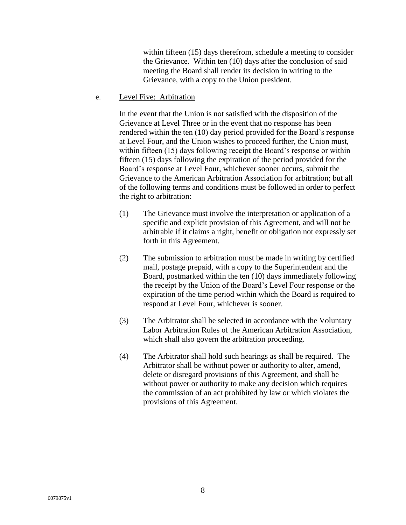within fifteen (15) days therefrom, schedule a meeting to consider the Grievance. Within ten (10) days after the conclusion of said meeting the Board shall render its decision in writing to the Grievance, with a copy to the Union president.

e. Level Five: Arbitration

In the event that the Union is not satisfied with the disposition of the Grievance at Level Three or in the event that no response has been rendered within the ten (10) day period provided for the Board's response at Level Four, and the Union wishes to proceed further, the Union must, within fifteen (15) days following receipt the Board's response or within fifteen (15) days following the expiration of the period provided for the Board's response at Level Four, whichever sooner occurs, submit the Grievance to the American Arbitration Association for arbitration; but all of the following terms and conditions must be followed in order to perfect the right to arbitration:

- (1) The Grievance must involve the interpretation or application of a specific and explicit provision of this Agreement, and will not be arbitrable if it claims a right, benefit or obligation not expressly set forth in this Agreement.
- (2) The submission to arbitration must be made in writing by certified mail, postage prepaid, with a copy to the Superintendent and the Board, postmarked within the ten (10) days immediately following the receipt by the Union of the Board's Level Four response or the expiration of the time period within which the Board is required to respond at Level Four, whichever is sooner.
- (3) The Arbitrator shall be selected in accordance with the Voluntary Labor Arbitration Rules of the American Arbitration Association, which shall also govern the arbitration proceeding.
- (4) The Arbitrator shall hold such hearings as shall be required. The Arbitrator shall be without power or authority to alter, amend, delete or disregard provisions of this Agreement, and shall be without power or authority to make any decision which requires the commission of an act prohibited by law or which violates the provisions of this Agreement.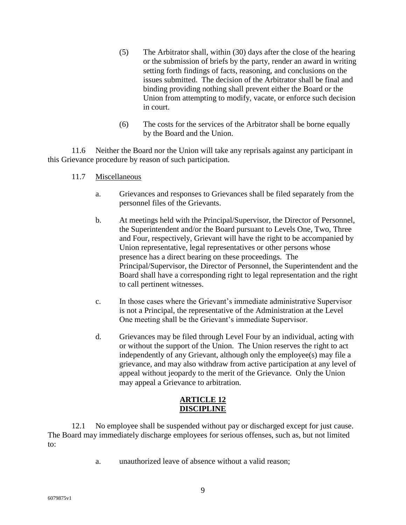- (5) The Arbitrator shall, within (30) days after the close of the hearing or the submission of briefs by the party, render an award in writing setting forth findings of facts, reasoning, and conclusions on the issues submitted. The decision of the Arbitrator shall be final and binding providing nothing shall prevent either the Board or the Union from attempting to modify, vacate, or enforce such decision in court.
- (6) The costs for the services of the Arbitrator shall be borne equally by the Board and the Union.

11.6 Neither the Board nor the Union will take any reprisals against any participant in this Grievance procedure by reason of such participation.

- 11.7 Miscellaneous
	- a. Grievances and responses to Grievances shall be filed separately from the personnel files of the Grievants.
	- b. At meetings held with the Principal/Supervisor, the Director of Personnel, the Superintendent and/or the Board pursuant to Levels One, Two, Three and Four, respectively, Grievant will have the right to be accompanied by Union representative, legal representatives or other persons whose presence has a direct bearing on these proceedings. The Principal/Supervisor, the Director of Personnel, the Superintendent and the Board shall have a corresponding right to legal representation and the right to call pertinent witnesses.
	- c. In those cases where the Grievant's immediate administrative Supervisor is not a Principal, the representative of the Administration at the Level One meeting shall be the Grievant's immediate Supervisor.
	- d. Grievances may be filed through Level Four by an individual, acting with or without the support of the Union. The Union reserves the right to act independently of any Grievant, although only the employee(s) may file a grievance, and may also withdraw from active participation at any level of appeal without jeopardy to the merit of the Grievance. Only the Union may appeal a Grievance to arbitration.

## **ARTICLE 12 DISCIPLINE**

12.1 No employee shall be suspended without pay or discharged except for just cause. The Board may immediately discharge employees for serious offenses, such as, but not limited to:

a. unauthorized leave of absence without a valid reason;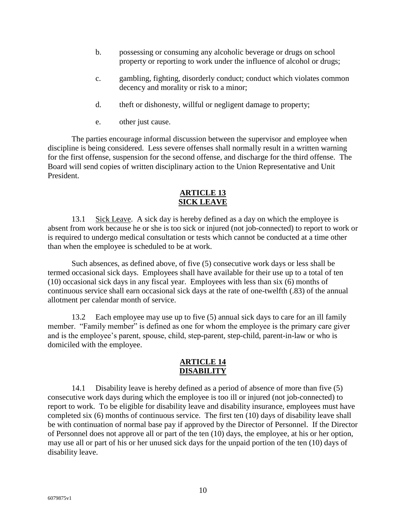- b. possessing or consuming any alcoholic beverage or drugs on school property or reporting to work under the influence of alcohol or drugs;
- c. gambling, fighting, disorderly conduct; conduct which violates common decency and morality or risk to a minor;
- d. theft or dishonesty, willful or negligent damage to property;
- e. other just cause.

The parties encourage informal discussion between the supervisor and employee when discipline is being considered. Less severe offenses shall normally result in a written warning for the first offense, suspension for the second offense, and discharge for the third offense. The Board will send copies of written disciplinary action to the Union Representative and Unit President.

## **ARTICLE 13 SICK LEAVE**

13.1 Sick Leave. A sick day is hereby defined as a day on which the employee is absent from work because he or she is too sick or injured (not job-connected) to report to work or is required to undergo medical consultation or tests which cannot be conducted at a time other than when the employee is scheduled to be at work.

Such absences, as defined above, of five (5) consecutive work days or less shall be termed occasional sick days. Employees shall have available for their use up to a total of ten (10) occasional sick days in any fiscal year. Employees with less than six (6) months of continuous service shall earn occasional sick days at the rate of one-twelfth (.83) of the annual allotment per calendar month of service.

13.2 Each employee may use up to five (5) annual sick days to care for an ill family member. "Family member" is defined as one for whom the employee is the primary care giver and is the employee's parent, spouse, child, step-parent, step-child, parent-in-law or who is domiciled with the employee.

## **ARTICLE 14 DISABILITY**

14.1 Disability leave is hereby defined as a period of absence of more than five (5) consecutive work days during which the employee is too ill or injured (not job-connected) to report to work. To be eligible for disability leave and disability insurance, employees must have completed six (6) months of continuous service. The first ten (10) days of disability leave shall be with continuation of normal base pay if approved by the Director of Personnel. If the Director of Personnel does not approve all or part of the ten (10) days, the employee, at his or her option, may use all or part of his or her unused sick days for the unpaid portion of the ten (10) days of disability leave.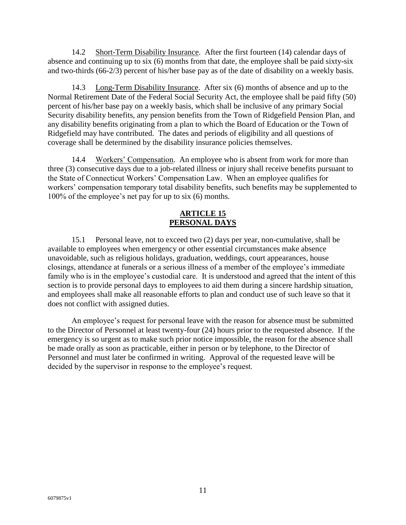14.2 Short-Term Disability Insurance. After the first fourteen (14) calendar days of absence and continuing up to six (6) months from that date, the employee shall be paid sixty-six and two-thirds (66-2/3) percent of his/her base pay as of the date of disability on a weekly basis.

14.3 Long-Term Disability Insurance. After six (6) months of absence and up to the Normal Retirement Date of the Federal Social Security Act, the employee shall be paid fifty (50) percent of his/her base pay on a weekly basis, which shall be inclusive of any primary Social Security disability benefits, any pension benefits from the Town of Ridgefield Pension Plan, and any disability benefits originating from a plan to which the Board of Education or the Town of Ridgefield may have contributed. The dates and periods of eligibility and all questions of coverage shall be determined by the disability insurance policies themselves.

14.4 Workers' Compensation. An employee who is absent from work for more than three (3) consecutive days due to a job-related illness or injury shall receive benefits pursuant to the State of Connecticut Workers' Compensation Law. When an employee qualifies for workers' compensation temporary total disability benefits, such benefits may be supplemented to 100% of the employee's net pay for up to six (6) months.

## **ARTICLE 15 PERSONAL DAYS**

15.1 Personal leave, not to exceed two (2) days per year, non-cumulative, shall be available to employees when emergency or other essential circumstances make absence unavoidable, such as religious holidays, graduation, weddings, court appearances, house closings, attendance at funerals or a serious illness of a member of the employee's immediate family who is in the employee's custodial care. It is understood and agreed that the intent of this section is to provide personal days to employees to aid them during a sincere hardship situation, and employees shall make all reasonable efforts to plan and conduct use of such leave so that it does not conflict with assigned duties.

An employee's request for personal leave with the reason for absence must be submitted to the Director of Personnel at least twenty-four (24) hours prior to the requested absence. If the emergency is so urgent as to make such prior notice impossible, the reason for the absence shall be made orally as soon as practicable, either in person or by telephone, to the Director of Personnel and must later be confirmed in writing. Approval of the requested leave will be decided by the supervisor in response to the employee's request.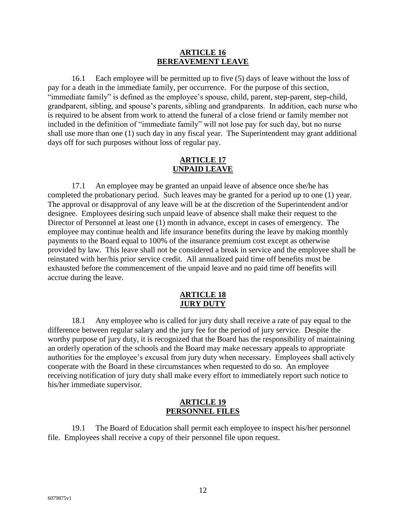#### **ARTICLE 16 BEREAVEMENT LEAVE**

16.1 Each employee will be permitted up to five (5) days of leave without the loss of pay for a death in the immediate family, per occurrence. For the purpose of this section, "immediate family" is defined as the employee's spouse, child, parent, step-parent, step-child, grandparent, sibling, and spouse's parents, sibling and grandparents. In addition, each nurse who is required to be absent from work to attend the funeral of a close friend or family member not included in the definition of "immediate family" will not lose pay for such day, but no nurse shall use more than one (1) such day in any fiscal year. The Superintendent may grant additional days off for such purposes without loss of regular pay.

## **ARTICLE 17 UNPAID LEAVE**

17.1 An employee may be granted an unpaid leave of absence once she/he has completed the probationary period. Such leaves may be granted for a period up to one (1) year. The approval or disapproval of any leave will be at the discretion of the Superintendent and/or designee. Employees desiring such unpaid leave of absence shall make their request to the Director of Personnel at least one (1) month in advance, except in cases of emergency. The employee may continue health and life insurance benefits during the leave by making monthly payments to the Board equal to 100% of the insurance premium cost except as otherwise provided by law. This leave shall not be considered a break in service and the employee shall be reinstated with her/his prior service credit. All annualized paid time off benefits must be exhausted before the commencement of the unpaid leave and no paid time off benefits will accrue during the leave.

#### **ARTICLE 18 JURY DUTY**

18.1 Any employee who is called for jury duty shall receive a rate of pay equal to the difference between regular salary and the jury fee for the period of jury service. Despite the worthy purpose of jury duty, it is recognized that the Board has the responsibility of maintaining an orderly operation of the schools and the Board may make necessary appeals to appropriate authorities for the employee's excusal from jury duty when necessary. Employees shall actively cooperate with the Board in these circumstances when requested to do so. An employee receiving notification of jury duty shall make every effort to immediately report such notice to his/her immediate supervisor.

#### **ARTICLE 19 PERSONNEL FILES**

19.1 The Board of Education shall permit each employee to inspect his/her personnel file. Employees shall receive a copy of their personnel file upon request.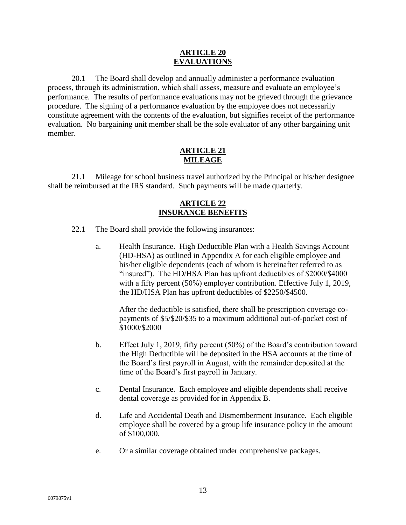#### **ARTICLE 20 EVALUATIONS**

20.1 The Board shall develop and annually administer a performance evaluation process, through its administration, which shall assess, measure and evaluate an employee's performance. The results of performance evaluations may not be grieved through the grievance procedure. The signing of a performance evaluation by the employee does not necessarily constitute agreement with the contents of the evaluation, but signifies receipt of the performance evaluation. No bargaining unit member shall be the sole evaluator of any other bargaining unit member.

## **ARTICLE 21 MILEAGE**

21.1 Mileage for school business travel authorized by the Principal or his/her designee shall be reimbursed at the IRS standard. Such payments will be made quarterly.

## **ARTICLE 22 INSURANCE BENEFITS**

- 22.1 The Board shall provide the following insurances:
	- a. Health Insurance. High Deductible Plan with a Health Savings Account (HD-HSA) as outlined in Appendix A for each eligible employee and his/her eligible dependents (each of whom is hereinafter referred to as "insured"). The HD/HSA Plan has upfront deductibles of \$2000/\$4000 with a fifty percent (50%) employer contribution. Effective July 1, 2019, the HD/HSA Plan has upfront deductibles of \$2250/\$4500.

After the deductible is satisfied, there shall be prescription coverage copayments of \$5/\$20/\$35 to a maximum additional out-of-pocket cost of \$1000/\$2000

- b. Effect July 1, 2019, fifty percent (50%) of the Board's contribution toward the High Deductible will be deposited in the HSA accounts at the time of the Board's first payroll in August, with the remainder deposited at the time of the Board's first payroll in January.
- c. Dental Insurance. Each employee and eligible dependents shall receive dental coverage as provided for in Appendix B.
- d. Life and Accidental Death and Dismemberment Insurance. Each eligible employee shall be covered by a group life insurance policy in the amount of \$100,000.
- e. Or a similar coverage obtained under comprehensive packages.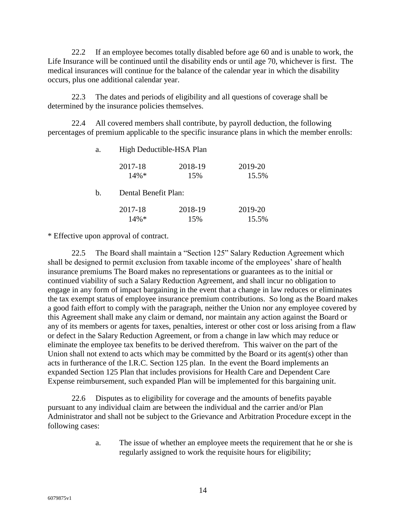22.2 If an employee becomes totally disabled before age 60 and is unable to work, the Life Insurance will be continued until the disability ends or until age 70, whichever is first. The medical insurances will continue for the balance of the calendar year in which the disability occurs, plus one additional calendar year.

22.3 The dates and periods of eligibility and all questions of coverage shall be determined by the insurance policies themselves.

22.4 All covered members shall contribute, by payroll deduction, the following percentages of premium applicable to the specific insurance plans in which the member enrolls:

| High Deductible-HSA Plan |                |                  |  |
|--------------------------|----------------|------------------|--|
| 2017-18<br>$14\%*$       | 2018-19<br>15% | 2019-20<br>15.5% |  |
| Dental Benefit Plan:     |                |                  |  |
| 2017-18                  | 2018-19        | 2019-20<br>15.5% |  |
|                          | $14\%*$        | 15%              |  |

\* Effective upon approval of contract.

22.5 The Board shall maintain a "Section 125" Salary Reduction Agreement which shall be designed to permit exclusion from taxable income of the employees' share of health insurance premiums The Board makes no representations or guarantees as to the initial or continued viability of such a Salary Reduction Agreement, and shall incur no obligation to engage in any form of impact bargaining in the event that a change in law reduces or eliminates the tax exempt status of employee insurance premium contributions. So long as the Board makes a good faith effort to comply with the paragraph, neither the Union nor any employee covered by this Agreement shall make any claim or demand, nor maintain any action against the Board or any of its members or agents for taxes, penalties, interest or other cost or loss arising from a flaw or defect in the Salary Reduction Agreement, or from a change in law which may reduce or eliminate the employee tax benefits to be derived therefrom. This waiver on the part of the Union shall not extend to acts which may be committed by the Board or its agent(s) other than acts in furtherance of the I.R.C. Section 125 plan. In the event the Board implements an expanded Section 125 Plan that includes provisions for Health Care and Dependent Care Expense reimbursement, such expanded Plan will be implemented for this bargaining unit.

22.6 Disputes as to eligibility for coverage and the amounts of benefits payable pursuant to any individual claim are between the individual and the carrier and/or Plan Administrator and shall not be subject to the Grievance and Arbitration Procedure except in the following cases:

> a. The issue of whether an employee meets the requirement that he or she is regularly assigned to work the requisite hours for eligibility;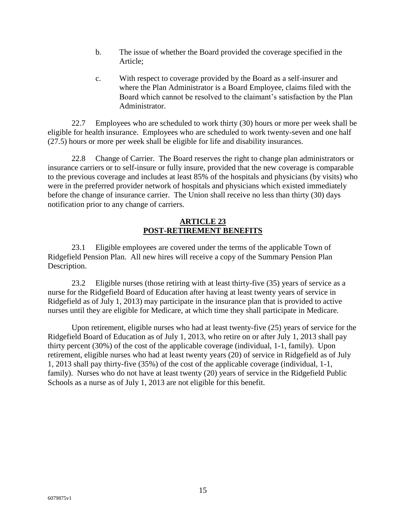- b. The issue of whether the Board provided the coverage specified in the Article;
- c. With respect to coverage provided by the Board as a self-insurer and where the Plan Administrator is a Board Employee, claims filed with the Board which cannot be resolved to the claimant's satisfaction by the Plan Administrator.

22.7 Employees who are scheduled to work thirty (30) hours or more per week shall be eligible for health insurance. Employees who are scheduled to work twenty-seven and one half (27.5) hours or more per week shall be eligible for life and disability insurances.

22.8 Change of Carrier. The Board reserves the right to change plan administrators or insurance carriers or to self-insure or fully insure, provided that the new coverage is comparable to the previous coverage and includes at least 85% of the hospitals and physicians (by visits) who were in the preferred provider network of hospitals and physicians which existed immediately before the change of insurance carrier. The Union shall receive no less than thirty (30) days notification prior to any change of carriers.

### **ARTICLE 23 POST-RETIREMENT BENEFITS**

23.1 Eligible employees are covered under the terms of the applicable Town of Ridgefield Pension Plan. All new hires will receive a copy of the Summary Pension Plan Description.

23.2 Eligible nurses (those retiring with at least thirty-five (35) years of service as a nurse for the Ridgefield Board of Education after having at least twenty years of service in Ridgefield as of July 1, 2013) may participate in the insurance plan that is provided to active nurses until they are eligible for Medicare, at which time they shall participate in Medicare.

Upon retirement, eligible nurses who had at least twenty-five (25) years of service for the Ridgefield Board of Education as of July 1, 2013, who retire on or after July 1, 2013 shall pay thirty percent (30%) of the cost of the applicable coverage (individual, 1-1, family). Upon retirement, eligible nurses who had at least twenty years (20) of service in Ridgefield as of July 1, 2013 shall pay thirty-five (35%) of the cost of the applicable coverage (individual, 1-1, family). Nurses who do not have at least twenty (20) years of service in the Ridgefield Public Schools as a nurse as of July 1, 2013 are not eligible for this benefit.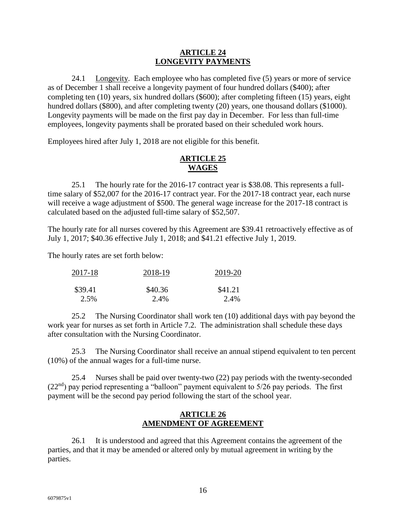#### **ARTICLE 24 LONGEVITY PAYMENTS**

24.1 Longevity. Each employee who has completed five (5) years or more of service as of December 1 shall receive a longevity payment of four hundred dollars (\$400); after completing ten (10) years, six hundred dollars (\$600); after completing fifteen (15) years, eight hundred dollars (\$800), and after completing twenty (20) years, one thousand dollars (\$1000). Longevity payments will be made on the first pay day in December. For less than full-time employees, longevity payments shall be prorated based on their scheduled work hours.

Employees hired after July 1, 2018 are not eligible for this benefit.

## **ARTICLE 25 WAGES**

25.1 The hourly rate for the 2016-17 contract year is \$38.08. This represents a fulltime salary of \$52,007 for the 2016-17 contract year. For the 2017-18 contract year, each nurse will receive a wage adjustment of \$500. The general wage increase for the 2017-18 contract is calculated based on the adjusted full-time salary of \$52,507.

The hourly rate for all nurses covered by this Agreement are \$39.41 retroactively effective as of July 1, 2017; \$40.36 effective July 1, 2018; and \$41.21 effective July 1, 2019.

The hourly rates are set forth below:

| 2017-18 | 2018-19 | 2019-20 |  |
|---------|---------|---------|--|
| \$39.41 | \$40.36 | \$41.21 |  |
| 2.5%    | 2.4%    | 2.4%    |  |

25.2 The Nursing Coordinator shall work ten (10) additional days with pay beyond the work year for nurses as set forth in Article 7.2. The administration shall schedule these days after consultation with the Nursing Coordinator.

25.3 The Nursing Coordinator shall receive an annual stipend equivalent to ten percent (10%) of the annual wages for a full-time nurse.

25.4 Nurses shall be paid over twenty-two (22) pay periods with the twenty-seconded  $(22<sup>nd</sup>)$  pay period representing a "balloon" payment equivalent to 5/26 pay periods. The first payment will be the second pay period following the start of the school year.

## **ARTICLE 26 AMENDMENT OF AGREEMENT**

26.1 It is understood and agreed that this Agreement contains the agreement of the parties, and that it may be amended or altered only by mutual agreement in writing by the parties.